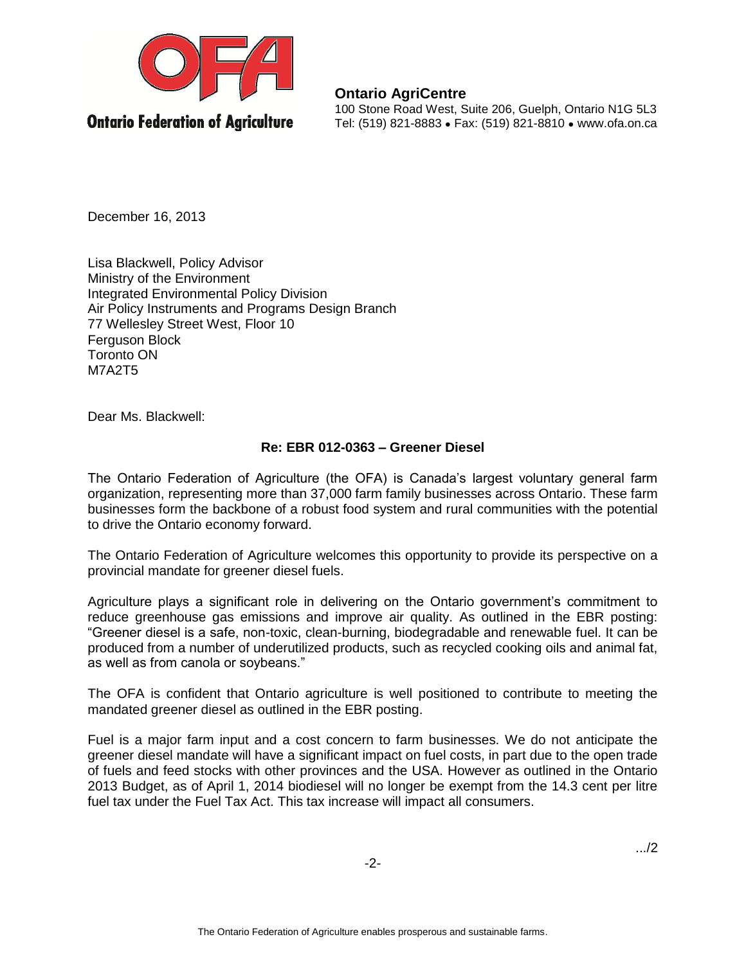

**Ontario AgriCentre** 100 Stone Road West, Suite 206, Guelph, Ontario N1G 5L3 Tel: (519) 821-8883 ● Fax: (519) 821-8810 ● www.ofa.on.ca

December 16, 2013

Lisa Blackwell, Policy Advisor Ministry of the Environment Integrated Environmental Policy Division Air Policy Instruments and Programs Design Branch 77 Wellesley Street West, Floor 10 Ferguson Block Toronto ON M7A2T5

Dear Ms. Blackwell:

## **Re: EBR 012-0363 – Greener Diesel**

The Ontario Federation of Agriculture (the OFA) is Canada's largest voluntary general farm organization, representing more than 37,000 farm family businesses across Ontario. These farm businesses form the backbone of a robust food system and rural communities with the potential to drive the Ontario economy forward.

The Ontario Federation of Agriculture welcomes this opportunity to provide its perspective on a provincial mandate for greener diesel fuels.

Agriculture plays a significant role in delivering on the Ontario government's commitment to reduce greenhouse gas emissions and improve air quality. As outlined in the EBR posting: "Greener diesel is a safe, non-toxic, clean-burning, biodegradable and renewable fuel. It can be produced from a number of underutilized products, such as recycled cooking oils and animal fat, as well as from canola or soybeans."

The OFA is confident that Ontario agriculture is well positioned to contribute to meeting the mandated greener diesel as outlined in the EBR posting.

Fuel is a major farm input and a cost concern to farm businesses. We do not anticipate the greener diesel mandate will have a significant impact on fuel costs, in part due to the open trade of fuels and feed stocks with other provinces and the USA. However as outlined in the Ontario 2013 Budget, as of April 1, 2014 biodiesel will no longer be exempt from the 14.3 cent per litre fuel tax under the Fuel Tax Act. This tax increase will impact all consumers.

.../2